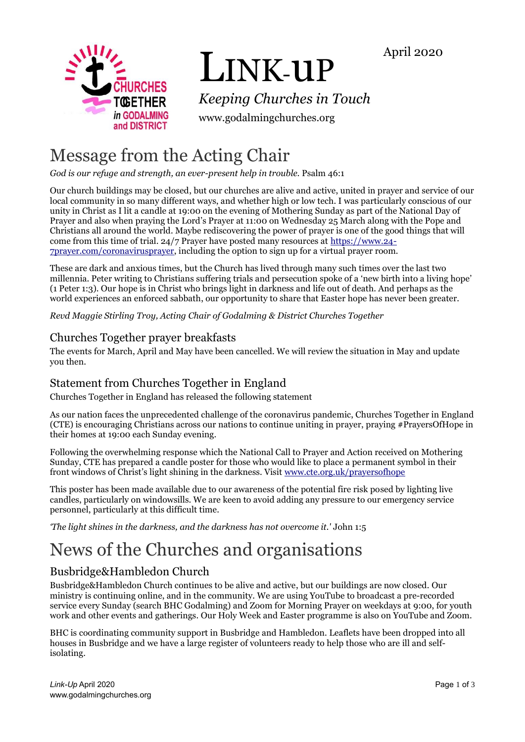April 2020



# LINK-uP

*Keeping Churches in Touch*

www.godalmingchurches.org

# Message from the Acting Chair

*God is our refuge and strength, an ever-present help in trouble.* Psalm 46:1

Our church buildings may be closed, but our churches are alive and active, united in prayer and service of our local community in so many different ways, and whether high or low tech. I was particularly conscious of our unity in Christ as I lit a candle at 19:00 on the evening of Mothering Sunday as part of the National Day of Prayer and also when praying the Lord's Prayer at 11:00 on Wednesday 25 March along with the Pope and Christians all around the world. Maybe rediscovering the power of prayer is one of the good things that will come from this time of trial. 24/7 Prayer have posted many resources at [https://www.24-](https://www.24-7prayer.com/coronavirusprayer) [7prayer.com/coronavirusprayer,](https://www.24-7prayer.com/coronavirusprayer) including the option to sign up for a virtual prayer room.

These are dark and anxious times, but the Church has lived through many such times over the last two millennia. Peter writing to Christians suffering trials and persecution spoke of a 'new birth into a living hope' (1 Peter 1:3). Our hope is in Christ who brings light in darkness and life out of death. And perhaps as the world experiences an enforced sabbath, our opportunity to share that Easter hope has never been greater.

*Revd Maggie Stirling Troy, Acting Chair of Godalming & District Churches Together*

# Churches Together prayer breakfasts

The events for March, April and May have been cancelled. We will review the situation in May and update you then.

# Statement from Churches Together in England

Churches Together in England has released the following statement

As our nation faces the unprecedented challenge of the coronavirus pandemic, Churches Together in England (CTE) is encouraging Christians across our nations to continue uniting in prayer, praying #PrayersOfHope in their homes at 19:00 each Sunday evening.

Following the overwhelming response which the National Call to Prayer and Action received on Mothering Sunday, CTE has prepared a candle poster for those who would like to place a permanent symbol in their front windows of Christ's light shining in the darkness. Visit [www.cte.org.uk/prayersofhope](https://www.cte.org.uk/prayersofhope)

This poster has been made available due to our awareness of the potential fire risk posed by lighting live candles, particularly on windowsills. We are keen to avoid adding any pressure to our emergency service personnel, particularly at this difficult time.

*'The light shines in the darkness, and the darkness has not overcome it.'* John 1:5

# News of the Churches and organisations

# Busbridge&Hambledon Church

Busbridge&Hambledon Church continues to be alive and active, but our buildings are now closed. Our ministry is continuing online, and in the community. We are using YouTube to broadcast a pre-recorded service every Sunday (search BHC Godalming) and Zoom for Morning Prayer on weekdays at 9:00, for youth work and other events and gatherings. Our Holy Week and Easter programme is also on YouTube and Zoom.

BHC is coordinating community support in Busbridge and Hambledon. Leaflets have been dropped into all houses in Busbridge and we have a large register of volunteers ready to help those who are ill and selfisolating.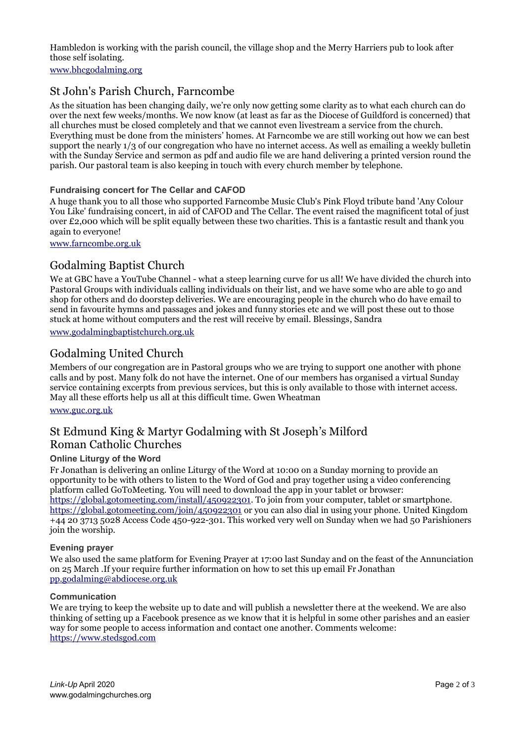Hambledon is working with the parish council, the village shop and the Merry Harriers pub to look after those self isolating.

[www.bhcgodalming.org](https://www.bhcgodalming.org/)

# St John's Parish Church, Farncombe

As the situation has been changing daily, we're only now getting some clarity as to what each church can do over the next few weeks/months. We now know (at least as far as the Diocese of Guildford is concerned) that all churches must be closed completely and that we cannot even livestream a service from the church. Everything must be done from the ministers' homes. At Farncombe we are still working out how we can best support the nearly 1/3 of our congregation who have no internet access. As well as emailing a weekly bulletin with the Sunday Service and sermon as pdf and audio file we are hand delivering a printed version round the parish. Our pastoral team is also keeping in touch with every church member by telephone.

#### **Fundraising concert for The Cellar and CAFOD**

A huge thank you to all those who supported Farncombe Music Club's Pink Floyd tribute band 'Any Colour You Like' fundraising concert, in aid of CAFOD and The Cellar. The event raised the magnificent total of just over £2,000 which will be split equally between these two charities. This is a fantastic result and thank you again to everyone!

[www.farncombe.org.uk](http://www.farncombe.org.uk/)

# Godalming Baptist Church

We at GBC have a YouTube Channel - what a steep learning curve for us all! We have divided the church into Pastoral Groups with individuals calling individuals on their list, and we have some who are able to go and shop for others and do doorstep deliveries. We are encouraging people in the church who do have email to send in favourite hymns and passages and jokes and funny stories etc and we will post these out to those stuck at home without computers and the rest will receive by email. Blessings, Sandra

[www.godalmingbaptistchurch.org.uk](http://www.godalmingbaptistchurch.org.uk/)

# Godalming United Church

Members of our congregation are in Pastoral groups who we are trying to support one another with phone calls and by post. Many folk do not have the internet. One of our members has organised a virtual Sunday service containing excerpts from previous services, but this is only available to those with internet access. May all these efforts help us all at this difficult time. Gwen Wheatman

[www.guc.org.uk](http://www.guc.org.uk/)

# St Edmund King & Martyr Godalming with St Joseph's Milford Roman Catholic Churches

#### **Online Liturgy of the Word**

Fr Jonathan is delivering an online Liturgy of the Word at 10:00 on a Sunday morning to provide an opportunity to be with others to listen to the Word of God and pray together using a video conferencing platform called GoToMeeting. You will need to download the app in your tablet or browser: [https://global.gotomeeting.com/install/450922301.](https://global.gotomeeting.com/install/450922301) To join from your computer, tablet or smartphone. <https://global.gotomeeting.com/join/450922301> or you can also dial in using your phone. United Kingdom +44 20 3713 5028 Access Code 450-922-301. This worked very well on Sunday when we had 50 Parishioners join the worship.

#### **Evening prayer**

We also used the same platform for Evening Prayer at 17:00 last Sunday and on the feast of the Annunciation on 25 March .If your require further information on how to set this up email Fr Jonathan [pp.godalming@abdiocese.org.uk](mailto:pp.godalming@abdiocese.org.uk)

#### **Communication**

We are trying to keep the website up to date and will publish a newsletter there at the weekend. We are also thinking of setting up a Facebook presence as we know that it is helpful in some other parishes and an easier way for some people to access information and contact one another. Comments welcome: [https://www.stedsgod.com](https://www.stedsgod.com/)